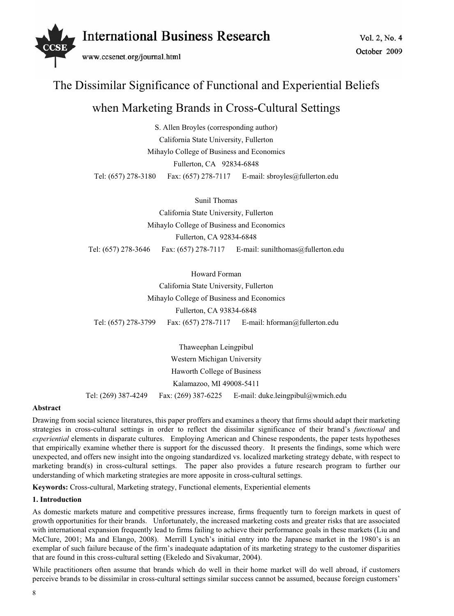

# The Dissimilar Significance of Functional and Experiential Beliefs when Marketing Brands in Cross-Cultural Settings

S. Allen Broyles (corresponding author) California State University, Fullerton Mihaylo College of Business and Economics Fullerton, CA 92834-6848 Tel: (657) 278-3180 Fax: (657) 278-7117 E-mail: sbroyles@fullerton.edu

Sunil Thomas California State University, Fullerton Mihaylo College of Business and Economics Fullerton, CA 92834-6848 Tel: (657) 278-3646 Fax: (657) 278-7117 E-mail: sunilthomas@fullerton.edu

Howard Forman California State University, Fullerton Mihaylo College of Business and Economics Fullerton, CA 93834-6848 Tel: (657) 278-3799 Fax: (657) 278-7117 E-mail: hforman@fullerton.edu

Thaweephan Leingpibul Western Michigan University Haworth College of Business Kalamazoo, MI 49008-5411 Tel: (269) 387-4249 Fax: (269) 387-6225 E-mail: duke.leingpibul@wmich.edu

## **Abstract**

Drawing from social science literatures, this paper proffers and examines a theory that firms should adapt their marketing strategies in cross-cultural settings in order to reflect the dissimilar significance of their brand's *functional* and *experiential* elements in disparate cultures. Employing American and Chinese respondents, the paper tests hypotheses that empirically examine whether there is support for the discussed theory. It presents the findings, some which were unexpected, and offers new insight into the ongoing standardized vs. localized marketing strategy debate, with respect to marketing brand(s) in cross-cultural settings. The paper also provides a future research program to further our understanding of which marketing strategies are more apposite in cross-cultural settings.

**Keywords:** Cross-cultural, Marketing strategy, Functional elements, Experiential elements

## **1. Introduction**

As domestic markets mature and competitive pressures increase, firms frequently turn to foreign markets in quest of growth opportunities for their brands. Unfortunately, the increased marketing costs and greater risks that are associated with international expansion frequently lead to firms failing to achieve their performance goals in these markets (Liu and McClure, 2001; Ma and Elango, 2008). Merrill Lynch's initial entry into the Japanese market in the 1980's is an exemplar of such failure because of the firm's inadequate adaptation of its marketing strategy to the customer disparities that are found in this cross-cultural setting (Ekeledo and Sivakumar, 2004).

While practitioners often assume that brands which do well in their home market will do well abroad, if customers perceive brands to be dissimilar in cross-cultural settings similar success cannot be assumed, because foreign customers'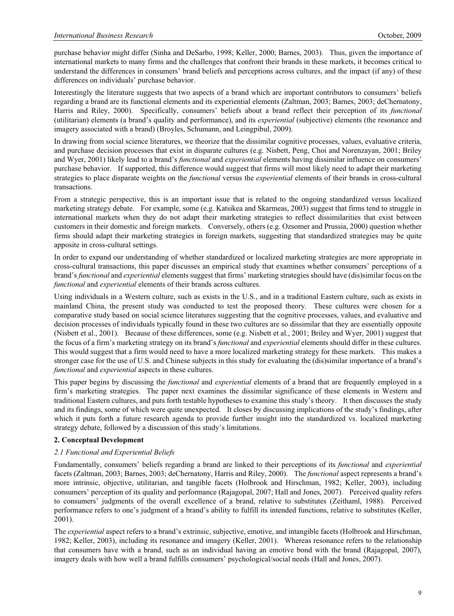purchase behavior might differ (Sinha and DeSarbo, 1998; Keller, 2000; Barnes, 2003). Thus, given the importance of international markets to many firms and the challenges that confront their brands in these markets, it becomes critical to understand the differences in consumers' brand beliefs and perceptions across cultures, and the impact (if any) of these differences on individuals' purchase behavior.

Interestingly the literature suggests that two aspects of a brand which are important contributors to consumers' beliefs regarding a brand are its functional elements and its experiential elements (Zaltman, 2003; Barnes, 2003; deChernatony, Harris and Riley, 2000). Specifically, consumers' beliefs about a brand reflect their perception of its *functional* (utilitarian) elements (a brand's quality and performance), and its *experiential* (subjective) elements (the resonance and imagery associated with a brand) (Broyles, Schumann, and Leingpibul, 2009).

In drawing from social science literatures, we theorize that the dissimilar cognitive processes, values, evaluative criteria, and purchase decision processes that exist in disparate cultures (e.g. Nisbett, Peng, Choi and Norenzayan, 2001; Briley and Wyer, 2001) likely lead to a brand's *functional* and *experiential* elements having dissimilar influence on consumers' purchase behavior. If supported, this difference would suggest that firms will most likely need to adapt their marketing strategies to place disparate weights on the *functional* versus the *experiential* elements of their brands in cross-cultural transactions.

From a strategic perspective, this is an important issue that is related to the ongoing standardized versus localized marketing strategy debate. For example, some (e.g. Katsikea and Skarmeas, 2003) suggest that firms tend to struggle in international markets when they do not adapt their marketing strategies to reflect dissimilarities that exist between customers in their domestic and foreign markets. Conversely, others (e.g. Ozsomer and Prussia, 2000) question whether firms should adapt their marketing strategies in foreign markets, suggesting that standardized strategies may be quite apposite in cross-cultural settings.

In order to expand our understanding of whether standardized or localized marketing strategies are more appropriate in cross-cultural transactions, this paper discusses an empirical study that examines whether consumers' perceptions of a brand's *functional* and *experiential* elements suggest that firms' marketing strategies should have (dis)similar focus on the *functional* and *experiential* elements of their brands across cultures.

Using individuals in a Western culture, such as exists in the U.S., and in a traditional Eastern culture, such as exists in mainland China, the present study was conducted to test the proposed theory. These cultures were chosen for a comparative study based on social science literatures suggesting that the cognitive processes, values, and evaluative and decision processes of individuals typically found in these two cultures are so dissimilar that they are essentially opposite (Nisbett et al., 2001). Because of these differences, some (e.g. Nisbett et al., 2001; Briley and Wyer, 2001) suggest that the focus of a firm's marketing strategy on its brand's *functional* and *experiential* elements should differ in these cultures. This would suggest that a firm would need to have a more localized marketing strategy for these markets. This makes a stronger case for the use of U.S. and Chinese subjects in this study for evaluating the (dis)similar importance of a brand's *functional* and *experiential* aspects in these cultures.

This paper begins by discussing the *functional* and *experiential* elements of a brand that are frequently employed in a firm's marketing strategies. The paper next examines the dissimilar significance of these elements in Western and traditional Eastern cultures, and puts forth testable hypotheses to examine this study's theory. It then discusses the study and its findings, some of which were quite unexpected. It closes by discussing implications of the study's findings, after which it puts forth a future research agenda to provide further insight into the standardized vs. localized marketing strategy debate, followed by a discussion of this study's limitations.

## **2. Conceptual Development**

## *2.1 Functional and Experiential Beliefs*

Fundamentally, consumers' beliefs regarding a brand are linked to their perceptions of its *functional* and *experiential* facets (Zaltman, 2003; Barnes, 2003; deChernatony, Harris and Riley, 2000). The *functional* aspect represents a brand's more intrinsic, objective, utilitarian, and tangible facets (Holbrook and Hirschman, 1982; Keller, 2003), including consumers' perception of its quality and performance (Rajagopal, 2007; Hall and Jones, 2007). Perceived quality refers to consumers' judgments of the overall excellence of a brand, relative to substitutes (Zeithaml, 1988). Perceived performance refers to one's judgment of a brand's ability to fulfill its intended functions, relative to substitutes (Keller, 2001).

The *experiential* aspect refers to a brand's extrinsic, subjective, emotive, and intangible facets (Holbrook and Hirschman, 1982; Keller, 2003), including its resonance and imagery (Keller, 2001). Whereas resonance refers to the relationship that consumers have with a brand, such as an individual having an emotive bond with the brand (Rajagopal, 2007), imagery deals with how well a brand fulfills consumers' psychological/social needs (Hall and Jones, 2007).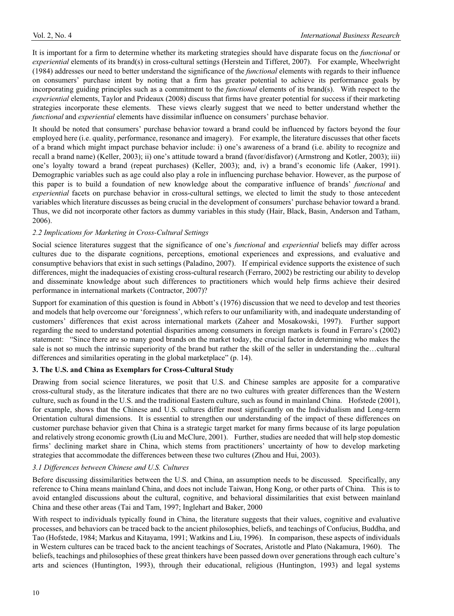It is important for a firm to determine whether its marketing strategies should have disparate focus on the *functional* or *experiential* elements of its brand(s) in cross-cultural settings (Herstein and Tifferet, 2007). For example, Wheelwright (1984) addresses our need to better understand the significance of the *functional* elements with regards to their influence on consumers' purchase intent by noting that a firm has greater potential to achieve its performance goals by incorporating guiding principles such as a commitment to the *functional* elements of its brand(s). With respect to the *experiential* elements, Taylor and Prideaux (2008) discuss that firms have greater potential for success if their marketing strategies incorporate these elements. These views clearly suggest that we need to better understand whether the *functional* and *experiential* elements have dissimilar influence on consumers' purchase behavior.

It should be noted that consumers' purchase behavior toward a brand could be influenced by factors beyond the four employed here (i.e. quality, performance, resonance and imagery). For example, the literature discusses that other facets of a brand which might impact purchase behavior include: i) one's awareness of a brand (i.e. ability to recognize and recall a brand name) (Keller, 2003); ii) one's attitude toward a brand (favor/disfavor) (Armstrong and Kotler, 2003); iii) one's loyalty toward a brand (repeat purchases) (Keller, 2003); and, iv) a brand's economic life (Aaker, 1991). Demographic variables such as age could also play a role in influencing purchase behavior. However, as the purpose of this paper is to build a foundation of new knowledge about the comparative influence of brands' *functional* and *experiential* facets on purchase behavior in cross-cultural settings, we elected to limit the study to those antecedent variables which literature discusses as being crucial in the development of consumers' purchase behavior toward a brand. Thus, we did not incorporate other factors as dummy variables in this study (Hair, Black, Basin, Anderson and Tatham, 2006).

## *2.2 Implications for Marketing in Cross-Cultural Settings*

Social science literatures suggest that the significance of one's *functional* and *experiential* beliefs may differ across cultures due to the disparate cognitions, perceptions, emotional experiences and expressions, and evaluative and consumptive behaviors that exist in such settings (Paladino, 2007). If empirical evidence supports the existence of such differences, might the inadequacies of existing cross-cultural research (Ferraro, 2002) be restricting our ability to develop and disseminate knowledge about such differences to practitioners which would help firms achieve their desired performance in international markets (Contractor, 2007)?

Support for examination of this question is found in Abbott's (1976) discussion that we need to develop and test theories and models that help overcome our 'foreignness', which refers to our unfamiliarity with, and inadequate understanding of customers' differences that exist across international markets (Zaheer and Mosakowski, 1997). Further support regarding the need to understand potential disparities among consumers in foreign markets is found in Ferraro's (2002) statement: "Since there are so many good brands on the market today, the crucial factor in determining who makes the sale is not so much the intrinsic superiority of the brand but rather the skill of the seller in understanding the…cultural differences and similarities operating in the global marketplace" (p. 14).

## **3. The U.S. and China as Exemplars for Cross-Cultural Study**

Drawing from social science literatures, we posit that U.S. and Chinese samples are apposite for a comparative cross-cultural study, as the literature indicates that there are no two cultures with greater differences than the Western culture, such as found in the U.S. and the traditional Eastern culture, such as found in mainland China. Hofstede (2001), for example, shows that the Chinese and U.S. cultures differ most significantly on the Individualism and Long-term Orientation cultural dimensions. It is essential to strengthen our understanding of the impact of these differences on customer purchase behavior given that China is a strategic target market for many firms because of its large population and relatively strong economic growth (Liu and McClure, 2001). Further, studies are needed that will help stop domestic firms' declining market share in China, which stems from practitioners' uncertainty of how to develop marketing strategies that accommodate the differences between these two cultures (Zhou and Hui, 2003).

#### *3.1 Differences between Chinese and U.S. Cultures*

Before discussing dissimilarities between the U.S. and China, an assumption needs to be discussed. Specifically, any reference to China means mainland China, and does not include Taiwan, Hong Kong, or other parts of China. This is to avoid entangled discussions about the cultural, cognitive, and behavioral dissimilarities that exist between mainland China and these other areas (Tai and Tam, 1997; Inglehart and Baker, 2000

With respect to individuals typically found in China, the literature suggests that their values, cognitive and evaluative processes, and behaviors can be traced back to the ancient philosophies, beliefs, and teachings of Confucius, Buddha, and Tao (Hofstede, 1984; Markus and Kitayama, 1991; Watkins and Liu, 1996). In comparison, these aspects of individuals in Western cultures can be traced back to the ancient teachings of Socrates, Aristotle and Plato (Nakamura, 1960). The beliefs, teachings and philosophies of these great thinkers have been passed down over generations through each culture's arts and sciences (Huntington, 1993), through their educational, religious (Huntington, 1993) and legal systems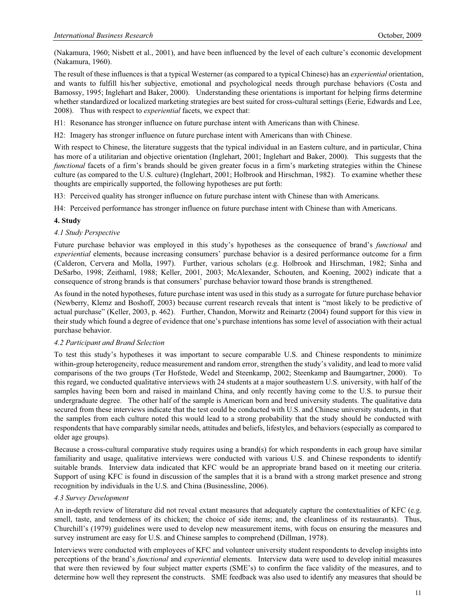(Nakamura, 1960; Nisbett et al., 2001), and have been influenced by the level of each culture's economic development (Nakamura, 1960).

The result of these influences is that a typical Westerner (as compared to a typical Chinese) has an *experiential* orientation, and wants to fulfill his/her subjective, emotional and psychological needs through purchase behaviors (Costa and Bamossy, 1995; Inglehart and Baker, 2000). Understanding these orientations is important for helping firms determine whether standardized or localized marketing strategies are best suited for cross-cultural settings (Eerie, Edwards and Lee, 2008). Thus with respect to *experiential* facets, we expect that:

H1: Resonance has stronger influence on future purchase intent with Americans than with Chinese.

H2: Imagery has stronger influence on future purchase intent with Americans than with Chinese.

With respect to Chinese, the literature suggests that the typical individual in an Eastern culture, and in particular, China has more of a utilitarian and objective orientation (Inglehart, 2001; Inglehart and Baker, 2000). This suggests that the *functional* facets of a firm's brands should be given greater focus in a firm's marketing strategies within the Chinese culture (as compared to the U.S. culture) (Inglehart, 2001; Holbrook and Hirschman, 1982). To examine whether these thoughts are empirically supported, the following hypotheses are put forth:

H3: Perceived quality has stronger influence on future purchase intent with Chinese than with Americans.

H4: Perceived performance has stronger influence on future purchase intent with Chinese than with Americans.

## **4. Study**

#### *4.1 Study Perspective*

Future purchase behavior was employed in this study's hypotheses as the consequence of brand's *functional* and *experiential* elements, because increasing consumers' purchase behavior is a desired performance outcome for a firm (Calderon, Cervera and Molla, 1997). Further, various scholars (e.g. Holbrook and Hirschman, 1982; Sinha and DeSarbo, 1998; Zeithaml, 1988; Keller, 2001, 2003; McAlexander, Schouten, and Koening, 2002) indicate that a consequence of strong brands is that consumers' purchase behavior toward those brands is strengthened.

As found in the noted hypotheses, future purchase intent was used in this study as a surrogate for future purchase behavior (Newberry, Klemz and Boshoff, 2003) because current research reveals that intent is "most likely to be predictive of actual purchase" (Keller, 2003, p. 462). Further, Chandon, Morwitz and Reinartz (2004) found support for this view in their study which found a degree of evidence that one's purchase intentions has some level of association with their actual purchase behavior.

## *4.2 Participant and Brand Selection*

To test this study's hypotheses it was important to secure comparable U.S. and Chinese respondents to minimize within-group heterogeneity, reduce measurement and random error, strengthen the study's validity, and lead to more valid comparisons of the two groups (Ter Hofstede, Wedel and Steenkamp, 2002; Steenkamp and Baumgartner, 2000). To this regard, we conducted qualitative interviews with 24 students at a major southeastern U.S. university, with half of the samples having been born and raised in mainland China, and only recently having come to the U.S. to pursue their undergraduate degree. The other half of the sample is American born and bred university students. The qualitative data secured from these interviews indicate that the test could be conducted with U.S. and Chinese university students, in that the samples from each culture noted this would lead to a strong probability that the study should be conducted with respondents that have comparably similar needs, attitudes and beliefs, lifestyles, and behaviors (especially as compared to older age groups).

Because a cross-cultural comparative study requires using a brand(s) for which respondents in each group have similar familiarity and usage, qualitative interviews were conducted with various U.S. and Chinese respondents to identify suitable brands. Interview data indicated that KFC would be an appropriate brand based on it meeting our criteria. Support of using KFC is found in discussion of the samples that it is a brand with a strong market presence and strong recognition by individuals in the U.S. and China (Businessline, 2006).

## *4.3 Survey Development*

An in-depth review of literature did not reveal extant measures that adequately capture the contextualities of KFC (e.g. smell, taste, and tenderness of its chicken; the choice of side items; and, the cleanliness of its restaurants). Thus, Churchill's (1979) guidelines were used to develop new measurement items, with focus on ensuring the measures and survey instrument are easy for U.S. and Chinese samples to comprehend (Dillman, 1978).

Interviews were conducted with employees of KFC and volunteer university student respondents to develop insights into perceptions of the brand's *functional* and *experiential* elements. Interview data were used to develop initial measures that were then reviewed by four subject matter experts (SME's) to confirm the face validity of the measures, and to determine how well they represent the constructs. SME feedback was also used to identify any measures that should be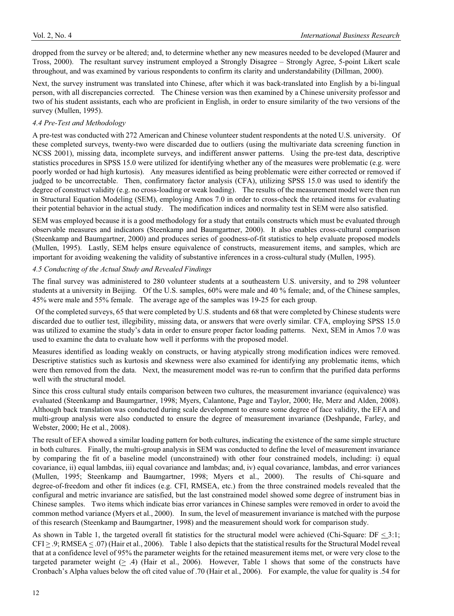dropped from the survey or be altered; and, to determine whether any new measures needed to be developed (Maurer and Tross, 2000). The resultant survey instrument employed a Strongly Disagree – Strongly Agree, 5-point Likert scale throughout, and was examined by various respondents to confirm its clarity and understandability (Dillman, 2000).

Next, the survey instrument was translated into Chinese, after which it was back-translated into English by a bi-lingual person, with all discrepancies corrected. The Chinese version was then examined by a Chinese university professor and two of his student assistants, each who are proficient in English, in order to ensure similarity of the two versions of the survey (Mullen, 1995).

## *4.4 Pre-Test and Methodology*

A pre-test was conducted with 272 American and Chinese volunteer student respondents at the noted U.S. university. Of these completed surveys, twenty-two were discarded due to outliers (using the multivariate data screening function in NCSS 2001), missing data, incomplete surveys, and indifferent answer patterns. Using the pre-test data, descriptive statistics procedures in SPSS 15.0 were utilized for identifying whether any of the measures were problematic (e.g. were poorly worded or had high kurtosis). Any measures identified as being problematic were either corrected or removed if judged to be uncorrectable. Then, confirmatory factor analysis (CFA), utilizing SPSS 15.0 was used to identify the degree of construct validity (e.g. no cross-loading or weak loading). The results of the measurement model were then run in Structural Equation Modeling (SEM), employing Amos 7.0 in order to cross-check the retained items for evaluating their potential behavior in the actual study. The modification indices and normality test in SEM were also satisfied.

SEM was employed because it is a good methodology for a study that entails constructs which must be evaluated through observable measures and indicators (Steenkamp and Baumgartner, 2000). It also enables cross-cultural comparison (Steenkamp and Baumgartner, 2000) and produces series of goodness-of-fit statistics to help evaluate proposed models (Mullen, 1995). Lastly, SEM helps ensure equivalence of constructs, measurement items, and samples, which are important for avoiding weakening the validity of substantive inferences in a cross-cultural study (Mullen, 1995).

## *4.5 Conducting of the Actual Study and Revealed Findings*

The final survey was administered to 280 volunteer students at a southeastern U.S. university, and to 298 volunteer students at a university in Beijing. Of the U.S. samples, 60% were male and 40 % female; and, of the Chinese samples, 45% were male and 55% female. The average age of the samples was 19-25 for each group.

 Of the completed surveys, 65 that were completed by U.S. students and 68 that were completed by Chinese students were discarded due to outlier test, illegibility, missing data, or answers that were overly similar. CFA, employing SPSS 15.0 was utilized to examine the study's data in order to ensure proper factor loading patterns. Next, SEM in Amos 7.0 was used to examine the data to evaluate how well it performs with the proposed model.

Measures identified as loading weakly on constructs, or having atypically strong modification indices were removed. Descriptive statistics such as kurtosis and skewness were also examined for identifying any problematic items, which were then removed from the data. Next, the measurement model was re-run to confirm that the purified data performs well with the structural model.

Since this cross cultural study entails comparison between two cultures, the measurement invariance (equivalence) was evaluated (Steenkamp and Baumgartner, 1998; Myers, Calantone, Page and Taylor, 2000; He, Merz and Alden, 2008). Although back translation was conducted during scale development to ensure some degree of face validity, the EFA and multi-group analysis were also conducted to ensure the degree of measurement invariance (Deshpande, Farley, and Webster, 2000; He et al., 2008).

The result of EFA showed a similar loading pattern for both cultures, indicating the existence of the same simple structure in both cultures. Finally, the multi-group analysis in SEM was conducted to define the level of measurement invariance by comparing the fit of a baseline model (unconstrained) with other four constrained models, including: i) equal covariance, ii) equal lambdas, iii) equal covariance and lambdas; and, iv) equal covariance, lambdas, and error variances (Mullen, 1995; Steenkamp and Baumgartner, 1998; Myers et al., 2000). The results of Chi-square and degree-of-freedom and other fit indices (e.g. CFI, RMSEA, etc.) from the three constrained models revealed that the configural and metric invariance are satisfied, but the last constrained model showed some degree of instrument bias in Chinese samples. Two items which indicate bias error variances in Chinese samples were removed in order to avoid the common method variance (Myers et al., 2000). In sum, the level of measurement invariance is matched with the purpose of this research (Steenkamp and Baumgartner, 1998) and the measurement should work for comparison study.

As shown in Table 1, the targeted overall fit statistics for the structural model were achieved (Chi-Square:  $DF \leq 3:1$ ;  $CFI \ge .9$ ; RMSEA  $\le .07$ ) (Hair et al., 2006). Table 1 also depicts that the statistical results for the Structural Model reveal that at a confidence level of 95% the parameter weights for the retained measurement items met, or were very close to the targeted parameter weight (> .4) (Hair et al., 2006). However, Table 1 shows that some of the constructs have Cronbach's Alpha values below the oft cited value of .70 (Hair et al., 2006). For example, the value for quality is .54 for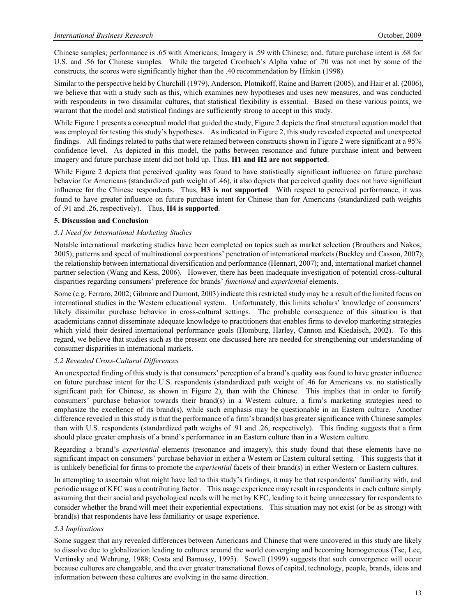Chinese samples; performance is .65 with Americans; Imagery is .59 with Chinese; and, future purchase intent is .68 for U.S. and .56 for Chinese samples. While the targeted Cronbach's Alpha value of .70 was not met by some of the constructs, the scores were significantly higher than the .40 recommendation by Hinkin (1998).

Similar to the perspective held by Churchill (1979), Anderson, Plotnikoff, Raine and Barrett (2005), and Hair et al. (2006), we believe that with a study such as this, which examines new hypotheses and uses new measures, and was conducted with respondents in two dissimilar cultures, that statistical flexibility is essential. Based on these various points, we warrant that the model and statistical findings are sufficiently strong to accept in this study.

While Figure 1 presents a conceptual model that guided the study, Figure 2 depicts the final structural equation model that was employed for testing this study's hypotheses. As indicated in Figure 2, this study revealed expected and unexpected findings. All findings related to paths that were retained between constructs shown in Figure 2 were significant at a 95% confidence level. As depicted in this model, the paths between resonance and future purchase intent and between imagery and future purchase intent did not hold up. Thus, **H1 and H2 are not supported**.

While Figure 2 depicts that perceived quality was found to have statistically significant influence on future purchase behavior for Americans (standardized path weight of .46), it also depicts that perceived quality does not have significant influence for the Chinese respondents. Thus, **H3 is not supported**. With respect to perceived performance, it was found to have greater influence on future purchase intent for Chinese than for Americans (standardized path weights of .91 and .26, respectively). Thus, **H4 is supported**.

## **5. Discussion and Conclusion**

#### *5.1 Need for International Marketing Studies*

Notable international marketing studies have been completed on topics such as market selection (Brouthers and Nakos, 2005); patterns and speed of multinational corporations' penetration of international markets (Buckley and Casson, 2007); the relationship between international diversification and performance (Hennart, 2007); and, international market channel partner selection (Wang and Kess, 2006). However, there has been inadequate investigation of potential cross-cultural disparities regarding consumers' preference for brands' *functional* and *experiential* elements.

Some (e.g. Ferraro, 2002; Gilmore and Dumont, 2003) indicate this restricted study may be a result of the limited focus on international studies in the Western educational system. Unfortunately, this limits scholars' knowledge of consumers' likely dissimilar purchase behavior in cross-cultural settings. The probable consequence of this situation is that academicians cannot disseminate adequate knowledge to practitioners that enables firms to develop marketing strategies which yield their desired international performance goals (Homburg, Harley, Cannon and Kiedaisch, 2002). To this regard, we believe that studies such as the present one discussed here are needed for strengthening our understanding of consumer disparities in international markets.

#### *5.2 Revealed Cross-Cultural Differences*

An unexpected finding of this study is that consumers' perception of a brand's quality was found to have greater influence on future purchase intent for the U.S. respondents (standardized path weight of .46 for Americans vs. no statistically significant path for Chinese, as shown in Figure 2), than with the Chinese. This implies that in order to fortify consumers' purchase behavior towards their brand(s) in a Western culture, a firm's marketing strategies need to emphasize the excellence of its brand(s), while such emphasis may be questionable in an Eastern culture. Another difference revealed in this study is that the performance of a firm's brand(s) has greater significance with Chinese samples than with U.S. respondents (standardized path weighs of .91 and .26, respectively). This finding suggests that a firm should place greater emphasis of a brand's performance in an Eastern culture than in a Western culture.

Regarding a brand's *experiential* elements (resonance and imagery), this study found that these elements have no significant impact on consumers' purchase behavior in either a Western or Eastern cultural setting. This suggests that it is unlikely beneficial for firms to promote the *experiential* facets of their brand(s) in either Western or Eastern cultures.

In attempting to ascertain what might have led to this study's findings, it may be that respondents' familiarity with, and periodic usage of KFC was a contributing factor. This usage experience may result in respondents in each culture simply assuming that their social and psychological needs will be met by KFC, leading to it being unnecessary for respondents to consider whether the brand will meet their experiential expectations. This situation may not exist (or be as strong) with brand(s) that respondents have less familiarity or usage experience.

#### *5.3 Implications*

Some suggest that any revealed differences between Americans and Chinese that were uncovered in this study are likely to dissolve due to globalization leading to cultures around the world converging and becoming homogeneous (Tse, Lee, Vertinsky and Wehrung, 1988; Costa and Bamossy, 1995). Sewell (1999) suggests that such convergence will occur because cultures are changeable, and the ever greater transnational flows of capital, technology, people, brands, ideas and information between these cultures are evolving in the same direction.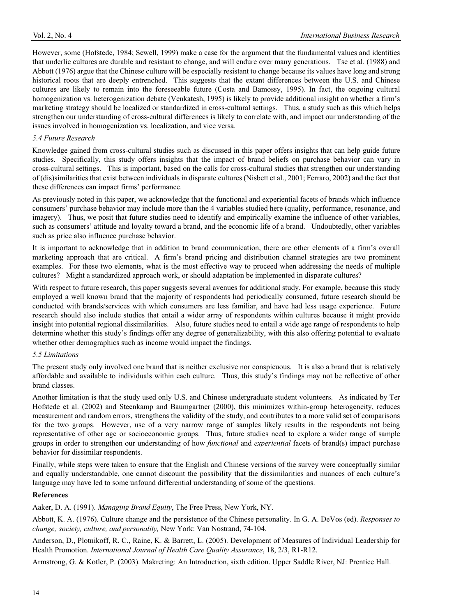However, some (Hofstede, 1984; Sewell, 1999) make a case for the argument that the fundamental values and identities that underlie cultures are durable and resistant to change, and will endure over many generations. Tse et al. (1988) and Abbott (1976) argue that the Chinese culture will be especially resistant to change because its values have long and strong historical roots that are deeply entrenched. This suggests that the extant differences between the U.S. and Chinese cultures are likely to remain into the foreseeable future (Costa and Bamossy, 1995). In fact, the ongoing cultural homogenization vs. heterogenization debate (Venkatesh, 1995) is likely to provide additional insight on whether a firm's marketing strategy should be localized or standardized in cross-cultural settings. Thus, a study such as this which helps strengthen our understanding of cross-cultural differences is likely to correlate with, and impact our understanding of the issues involved in homogenization vs. localization, and vice versa.

#### *5.4 Future Research*

Knowledge gained from cross-cultural studies such as discussed in this paper offers insights that can help guide future studies. Specifically, this study offers insights that the impact of brand beliefs on purchase behavior can vary in cross-cultural settings. This is important, based on the calls for cross-cultural studies that strengthen our understanding of (dis)similarities that exist between individuals in disparate cultures (Nisbett et al., 2001; Ferraro, 2002) and the fact that these differences can impact firms' performance.

As previously noted in this paper, we acknowledge that the functional and experiential facets of brands which influence consumers' purchase behavior may include more than the 4 variables studied here (quality, performance, resonance, and imagery). Thus, we posit that future studies need to identify and empirically examine the influence of other variables, such as consumers' attitude and loyalty toward a brand, and the economic life of a brand. Undoubtedly, other variables such as price also influence purchase behavior.

It is important to acknowledge that in addition to brand communication, there are other elements of a firm's overall marketing approach that are critical. A firm's brand pricing and distribution channel strategies are two prominent examples. For these two elements, what is the most effective way to proceed when addressing the needs of multiple cultures? Might a standardized approach work, or should adaptation be implemented in disparate cultures?

With respect to future research, this paper suggests several avenues for additional study. For example, because this study employed a well known brand that the majority of respondents had periodically consumed, future research should be conducted with brands/services with which consumers are less familiar, and have had less usage experience. Future research should also include studies that entail a wider array of respondents within cultures because it might provide insight into potential regional dissimilarities. Also, future studies need to entail a wide age range of respondents to help determine whether this study's findings offer any degree of generalizability, with this also offering potential to evaluate whether other demographics such as income would impact the findings.

#### *5.5 Limitations*

The present study only involved one brand that is neither exclusive nor conspicuous. It is also a brand that is relatively affordable and available to individuals within each culture. Thus, this study's findings may not be reflective of other brand classes.

Another limitation is that the study used only U.S. and Chinese undergraduate student volunteers. As indicated by Ter Hofstede et al. (2002) and Steenkamp and Baumgartner (2000), this minimizes within-group heterogeneity, reduces measurement and random errors, strengthens the validity of the study, and contributes to a more valid set of comparisons for the two groups. However, use of a very narrow range of samples likely results in the respondents not being representative of other age or socioeconomic groups. Thus, future studies need to explore a wider range of sample groups in order to strengthen our understanding of how *functional* and *experiential* facets of brand(s) impact purchase behavior for dissimilar respondents.

Finally, while steps were taken to ensure that the English and Chinese versions of the survey were conceptually similar and equally understandable, one cannot discount the possibility that the dissimilarities and nuances of each culture's language may have led to some unfound differential understanding of some of the questions.

#### **References**

Aaker, D. A. (1991). *Managing Brand Equity*, The Free Press, New York, NY.

Abbott, K. A. (1976). Culture change and the persistence of the Chinese personality. In G. A. DeVos (ed). *Responses to change; society, culture, and personality,* New York: Van Nostrand, 74-104.

Anderson, D., Plotnikoff, R. C., Raine, K. & Barrett, L. (2005). Development of Measures of Individual Leadership for Health Promotion. *International Journal of Health Care Quality Assurance*, 18, 2/3, R1-R12.

Armstrong, G. & Kotler, P. (2003). Makreting: An Introduction, sixth edition. Upper Saddle River, NJ: Prentice Hall.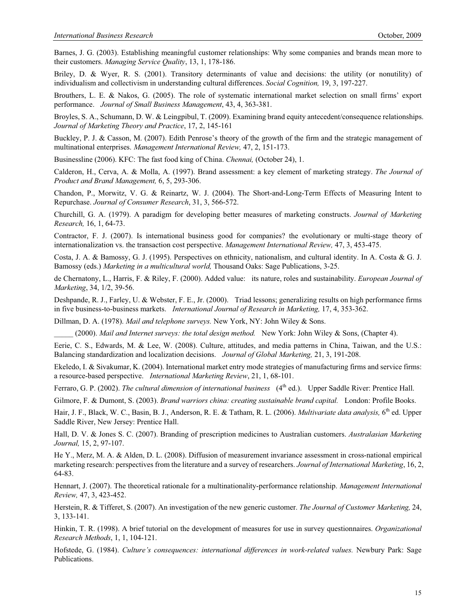Barnes, J. G. (2003). Establishing meaningful customer relationships: Why some companies and brands mean more to their customers. *Managing Service Quality*, 13, 1, 178-186.

Briley, D. & Wyer, R. S. (2001). Transitory determinants of value and decisions: the utility (or nonutility) of individualism and collectivism in understanding cultural differences. *Social Cognition,* 19, 3, 197-227.

Brouthers, L. E. & Nakos, G. (2005). The role of systematic international market selection on small firms' export performance. *Journal of Small Business Management*, 43, 4, 363-381.

Broyles, S. A., Schumann, D. W. & Leingpibul, T. (2009). Examining brand equity antecedent/consequence relationships. *Journal of Marketing Theory and Practice*, 17, 2, 145-161

Buckley, P. J. & Casson, M. (2007). Edith Penrose's theory of the growth of the firm and the strategic management of multinational enterprises. *Management International Review,* 47, 2, 151-173.

Businessline (2006). KFC: The fast food king of China. *Chennai,* (October 24), 1.

Calderon, H., Cerva, A. & Molla, A. (1997). Brand assessment: a key element of marketing strategy. *The Journal of Product and Brand Management,* 6, 5, 293-306.

Chandon, P., Morwitz, V. G. & Reinartz, W. J. (2004). The Short-and-Long-Term Effects of Measuring Intent to Repurchase. *Journal of Consumer Research*, 31, 3, 566-572.

Churchill, G. A. (1979). A paradigm for developing better measures of marketing constructs. *Journal of Marketing Research,* 16, 1, 64-73.

Contractor, F. J. (2007). Is international business good for companies? the evolutionary or multi-stage theory of internationalization vs. the transaction cost perspective. *Management International Review,* 47, 3, 453-475.

Costa, J. A. & Bamossy, G. J. (1995). Perspectives on ethnicity, nationalism, and cultural identity. In A. Costa & G. J. Bamossy (eds.) *Marketing in a multicultural world,* Thousand Oaks: Sage Publications, 3-25.

de Chernatony, L., Harris, F. & Riley, F. (2000). Added value: its nature, roles and sustainability. *European Journal of Marketing*, 34, 1/2, 39-56.

Deshpande, R. J., Farley, U. & Webster, F. E., Jr. (2000). Triad lessons; generalizing results on high performance firms in five business-to-business markets. *International Journal of Research in Marketing,* 17, 4, 353-362.

Dillman, D. A. (1978). *Mail and telephone surveys.* New York, NY: John Wiley & Sons.

\_\_\_\_\_ (2000). *Mail and Internet surveys: the total design method.* New York: John Wiley & Sons, (Chapter 4).

Eerie, C. S., Edwards, M. & Lee, W. (2008). Culture, attitudes, and media patterns in China, Taiwan, and the U.S.: Balancing standardization and localization decisions. *Journal of Global Marketing,* 21, 3, 191-208.

Ekeledo, I. & Sivakumar, K. (2004). International market entry mode strategies of manufacturing firms and service firms: a resource-based perspective. *International Marketing Review*, 21, 1, 68-101.

Ferraro, G. P. (2002). *The cultural dimension of international business* (4<sup>th</sup> ed.). Upper Saddle River: Prentice Hall.

Gilmore, F. & Dumont, S. (2003). *Brand warriors china: creating sustainable brand capital.* London: Profile Books.

Hair, J. F., Black, W. C., Basin, B. J., Anderson, R. E. & Tatham, R. L. (2006). *Multivariate data analysis*, 6<sup>th</sup> ed. Upper Saddle River, New Jersey: Prentice Hall.

Hall, D. V. & Jones S. C. (2007). Branding of prescription medicines to Australian customers. *Australasian Marketing Journal,* 15, 2, 97-107.

He Y., Merz, M. A. & Alden, D. L. (2008). Diffusion of measurement invariance assessment in cross-national empirical marketing research: perspectives from the literature and a survey of researchers. *Journal of International Marketing*, 16, 2, 64-83.

Hennart, J. (2007). The theoretical rationale for a multinationality-performance relationship. *Management International Review,* 47, 3, 423-452.

Herstein, R. & Tifferet, S. (2007). An investigation of the new generic customer. *The Journal of Customer Marketing,* 24, 3, 133-141.

Hinkin, T. R. (1998). A brief tutorial on the development of measures for use in survey questionnaires. *Organizational Research Methods*, 1, 1, 104-121.

Hofstede, G. (1984). *Culture's consequences: international differences in work-related values.* Newbury Park: Sage Publications.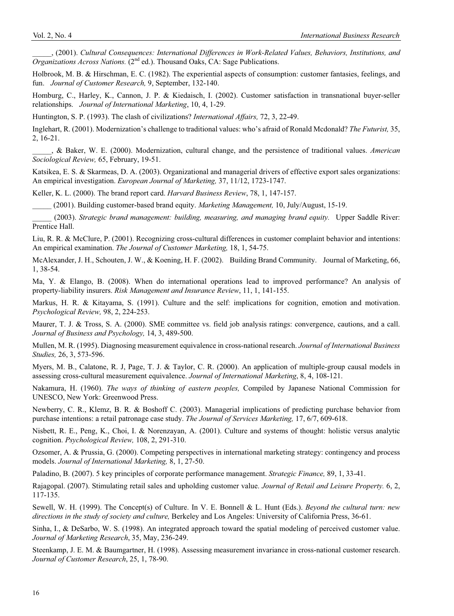\_\_\_\_\_, (2001). *Cultural Consequences: International Differences in Work-Related Values, Behaviors, Institutions, and Organizations Across Nations.* (2<sup>nd</sup> ed.). Thousand Oaks, CA: Sage Publications.

Holbrook, M. B. & Hirschman, E. C. (1982). The experiential aspects of consumption: customer fantasies, feelings, and fun. *Journal of Customer Research,* 9, September, 132-140.

Homburg, C., Harley, K., Cannon, J. P. & Kiedaisch, I. (2002). Customer satisfaction in transnational buyer-seller relationships. *Journal of International Marketing*, 10, 4, 1-29.

Huntington, S. P. (1993). The clash of civilizations? *International Affairs,* 72, 3, 22-49.

Inglehart, R. (2001). Modernization's challenge to traditional values: who's afraid of Ronald Mcdonald? *The Futurist,* 35, 2, 16-21.

\_\_\_\_\_, & Baker, W. E. (2000). Modernization, cultural change, and the persistence of traditional values. *American Sociological Review,* 65, February, 19-51.

Katsikea, E. S. & Skarmeas, D. A. (2003). Organizational and managerial drivers of effective export sales organizations: An empirical investigation. *European Journal of Marketing,* 37, 11/12, 1723-1747.

Keller, K. L. (2000). The brand report card. *Harvard Business Review*, 78, 1, 147-157.

\_\_\_\_\_ (2001). Building customer-based brand equity. *Marketing Management,* 10, July/August, 15-19.

\_\_\_\_\_ (2003). *Strategic brand management: building, measuring, and managing brand equity.* Upper Saddle River: Prentice Hall.

Liu, R. R. & McClure, P. (2001). Recognizing cross-cultural differences in customer complaint behavior and intentions: An empirical examination. *The Journal of Customer Marketing,* 18, 1, 54-75.

McAlexander, J. H., Schouten, J. W., & Koening, H. F. (2002). Building Brand Community. Journal of Marketing, 66, 1, 38-54.

Ma, Y. & Elango, B. (2008). When do international operations lead to improved performance? An analysis of property-liability insurers. *Risk Management and Insurance Review*, 11, 1, 141-155.

Markus, H. R. & Kitayama, S. (1991). Culture and the self: implications for cognition, emotion and motivation. *Psychological Review,* 98, 2, 224-253.

Maurer, T. J. & Tross, S. A. (2000). SME committee vs. field job analysis ratings: convergence, cautions, and a call. *Journal of Business and Psychology,* 14, 3, 489-500.

Mullen, M. R. (1995). Diagnosing measurement equivalence in cross-national research. *Journal of International Business Studies,* 26, 3, 573-596.

Myers, M. B., Calatone, R. J, Page, T. J. & Taylor, C. R. (2000). An application of multiple-group causal models in assessing cross-cultural measurement equivalence. *Journal of International Marketing*, 8, 4, 108-121.

Nakamura, H. (1960). *The ways of thinking of eastern peoples,* Compiled by Japanese National Commission for UNESCO, New York: Greenwood Press.

Newberry, C. R., Klemz, B. R. & Boshoff C. (2003). Managerial implications of predicting purchase behavior from purchase intentions: a retail patronage case study. *The Journal of Services Marketing,* 17, 6/7, 609-618.

Nisbett, R. E., Peng, K., Choi, I. & Norenzayan, A. (2001). Culture and systems of thought: holistic versus analytic cognition. *Psychological Review,* 108, 2, 291-310.

Ozsomer, A. & Prussia, G. (2000). Competing perspectives in international marketing strategy: contingency and process models. *Journal of International Marketing,* 8, 1, 27-50.

Paladino, B. (2007). 5 key principles of corporate performance management. *Strategic Finance,* 89, 1, 33-41.

Rajagopal. (2007). Stimulating retail sales and upholding customer value. *Journal of Retail and Leisure Property.* 6, 2, 117-135.

Sewell, W. H. (1999). The Concept(s) of Culture. In V. E. Bonnell & L. Hunt (Eds.). *Beyond the cultural turn: new directions in the study of society and culture,* Berkeley and Los Angeles: University of California Press, 36-61.

Sinha, I., & DeSarbo, W. S. (1998). An integrated approach toward the spatial modeling of perceived customer value. *Journal of Marketing Research*, 35, May, 236-249.

Steenkamp, J. E. M. & Baumgartner, H. (1998). Assessing measurement invariance in cross-national customer research. *Journal of Customer Research*, 25, 1, 78-90.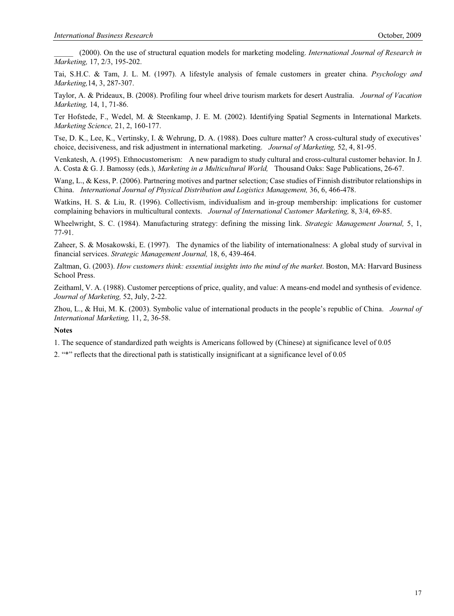\_\_\_\_\_ (2000). On the use of structural equation models for marketing modeling. *International Journal of Research in Marketing,* 17, 2/3, 195-202.

Tai, S.H.C. & Tam, J. L. M. (1997). A lifestyle analysis of female customers in greater china. *Psychology and Marketing,*14, 3, 287-307.

Taylor, A. & Prideaux, B. (2008). Profiling four wheel drive tourism markets for desert Australia. *Journal of Vacation Marketing,* 14, 1, 71-86.

Ter Hofstede, F., Wedel, M. & Steenkamp, J. E. M. (2002). Identifying Spatial Segments in International Markets. *Marketing Science,* 21, 2, 160-177.

Tse, D. K., Lee, K., Vertinsky, I. & Wehrung, D. A. (1988). Does culture matter? A cross-cultural study of executives' choice, decisiveness, and risk adjustment in international marketing. *Journal of Marketing,* 52, 4, 81-95.

Venkatesh, A. (1995). Ethnocustomerism: A new paradigm to study cultural and cross-cultural customer behavior. In J. A. Costa & G. J. Bamossy (eds.), *Marketing in a Multicultural World,* Thousand Oaks: Sage Publications, 26-67.

Wang, L., & Kess, P. (2006). Partnering motives and partner selection; Case studies of Finnish distributor relationships in China. *International Journal of Physical Distribution and Logistics Management,* 36, 6, 466-478.

Watkins, H. S. & Liu, R. (1996). Collectivism, individualism and in-group membership: implications for customer complaining behaviors in multicultural contexts. *Journal of International Customer Marketing,* 8, 3/4, 69-85.

Wheelwright, S. C. (1984). Manufacturing strategy: defining the missing link. *Strategic Management Journal,* 5, 1, 77-91.

Zaheer, S. & Mosakowski, E. (1997). The dynamics of the liability of internationalness: A global study of survival in financial services. *Strategic Management Journal,* 18, 6, 439-464.

Zaltman, G. (2003). *How customers think: essential insights into the mind of the market*. Boston, MA: Harvard Business School Press.

Zeithaml, V. A. (1988). Customer perceptions of price, quality, and value: A means-end model and synthesis of evidence. *Journal of Marketing,* 52, July, 2-22.

Zhou, L., & Hui, M. K. (2003). Symbolic value of international products in the people's republic of China. *Journal of International Marketing,* 11, 2, 36-58.

#### **Notes**

1. The sequence of standardized path weights is Americans followed by (Chinese) at significance level of 0.05

2. "\*" reflects that the directional path is statistically insignificant at a significance level of 0.05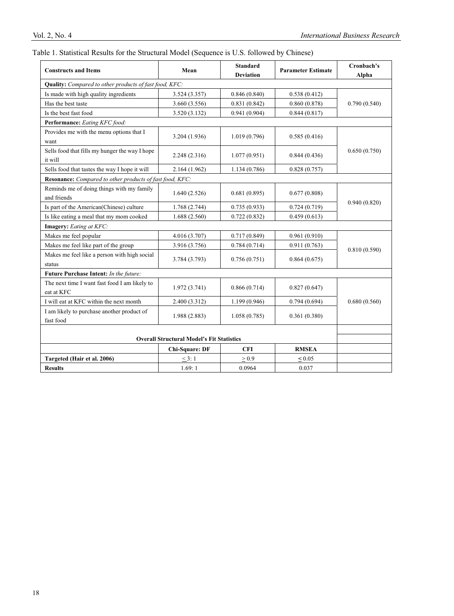## Table 1. Statistical Results for the Structural Model (Sequence is U.S. followed by Chinese)

| <b>Constructs and Items</b>                                 | Mean                  | <b>Standard</b><br><b>Deviation</b> | <b>Parameter Estimate</b> | Cronbach's<br>Alpha |
|-------------------------------------------------------------|-----------------------|-------------------------------------|---------------------------|---------------------|
| Quality: Compared to other products of fast food, KFC:      |                       |                                     |                           |                     |
| Is made with high quality ingredients                       | 3.524 (3.357)         | 0.846(0.840)                        | 0.538(0.412)              | 0.790(0.540)        |
| Has the best taste                                          | 3.660 (3.556)         | 0.831(0.842)                        | 0.860(0.878)              |                     |
| Is the best fast food                                       | 3.520 (3.132)         | 0.941(0.904)                        | 0.844(0.817)              |                     |
| Performance: Eating KFC food:                               |                       |                                     |                           |                     |
| Provides me with the menu options that I<br>want            | 3.204 (1.936)         | 1.019(0.796)                        | 0.585(0.416)              | 0.650(0.750)        |
| Sells food that fills my hunger the way I hope<br>it will   | 2.248 (2.316)         | 1.077(0.951)                        | 0.844(0.436)              |                     |
| Sells food that tastes the way I hope it will               | 2.164 (1.962)         | 1.134(0.786)                        | 0.828(0.757)              |                     |
| Resonance: Compared to other products of fast food, KFC:    |                       |                                     |                           |                     |
| Reminds me of doing things with my family<br>and friends    | 1.640(2.526)          | 0.681(0.895)                        | 0.677(0.808)              | 0.940(0.820)        |
| Is part of the American(Chinese) culture                    | 1.768(2.744)          | 0.735(0.933)                        | 0.724(0.719)              |                     |
| Is like eating a meal that my mom cooked                    | 1.688(2.560)          | 0.722(0.832)                        | 0.459(0.613)              |                     |
| Imagery: Eating at KFC:                                     |                       |                                     |                           |                     |
| Makes me feel popular                                       | 4.016 (3.707)         | 0.717(0.849)                        | 0.961(0.910)              | 0.810(0.590)        |
| Makes me feel like part of the group                        | 3.916 (3.756)         | 0.784(0.714)                        | 0.911(0.763)              |                     |
| Makes me feel like a person with high social<br>status      | 3.784 (3.793)         | 0.756(0.751)                        | 0.864(0.675)              |                     |
| Future Purchase Intent: In the future:                      |                       |                                     |                           |                     |
| The next time I want fast food I am likely to<br>eat at KFC | 1.972(3.741)          | 0.866(0.714)                        | 0.827(0.647)              | 0.680(0.560)        |
| I will eat at KFC within the next month                     | 2.400 (3.312)         | 1.199(0.946)                        | 0.794(0.694)              |                     |
| I am likely to purchase another product of<br>fast food     | 1.988 (2.883)         | 1.058(0.785)                        | 0.361(0.380)              |                     |
|                                                             |                       |                                     |                           |                     |
| <b>Overall Structural Model's Fit Statistics</b>            |                       |                                     |                           |                     |
|                                                             | <b>Chi-Square: DF</b> | <b>CFI</b>                          | <b>RMSEA</b>              |                     |
| Targeted (Hair et al. 2006)                                 | $<$ 3: 1              | > 0.9                               | ${}_{0.05}$               |                     |
| <b>Results</b>                                              | 1.69:1                | 0.0964                              | 0.037                     |                     |